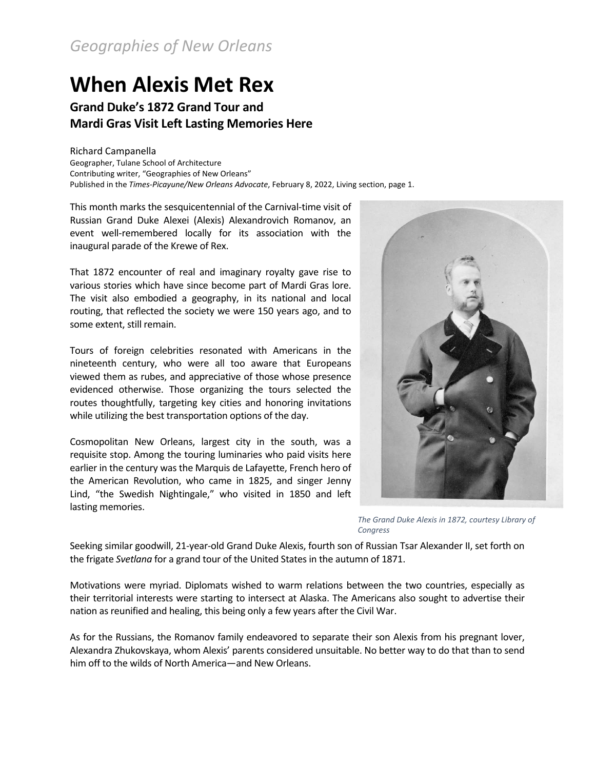## **When Alexis Met Rex**

**Grand Duke's 1872 Grand Tour and Mardi Gras Visit Left Lasting Memories Here**

Richard Campanella Geographer, Tulane School of Architecture Contributing writer, "Geographies of New Orleans" Published in the *Times-Picayune/New Orleans Advocate*, February 8, 2022, Living section, page 1.

This month marks the sesquicentennial of the Carnival-time visit of Russian Grand Duke Alexei (Alexis) Alexandrovich Romanov, an event well-remembered locally for its association with the inaugural parade of the Krewe of Rex.

That 1872 encounter of real and imaginary royalty gave rise to various stories which have since become part of Mardi Gras lore. The visit also embodied a geography, in its national and local routing, that reflected the society we were 150 years ago, and to some extent, still remain.

Tours of foreign celebrities resonated with Americans in the nineteenth century, who were all too aware that Europeans viewed them as rubes, and appreciative of those whose presence evidenced otherwise. Those organizing the tours selected the routes thoughtfully, targeting key cities and honoring invitations while utilizing the best transportation options of the day.

Cosmopolitan New Orleans, largest city in the south, was a requisite stop. Among the touring luminaries who paid visits here earlier in the century was the Marquis de Lafayette, French hero of the American Revolution, who came in 1825, and singer Jenny Lind, "the Swedish Nightingale," who visited in 1850 and left lasting memories.



*The Grand Duke Alexis in 1872, courtesy Library of Congress*

Seeking similar goodwill, 21-year-old Grand Duke Alexis, fourth son of Russian Tsar Alexander II, set forth on the frigate *Svetlana* for a grand tour of the United States in the autumn of 1871.

Motivations were myriad. Diplomats wished to warm relations between the two countries, especially as their territorial interests were starting to intersect at Alaska. The Americans also sought to advertise their nation as reunified and healing, this being only a few years after the Civil War.

As for the Russians, the Romanov family endeavored to separate their son Alexis from his pregnant lover, Alexandra Zhukovskaya, whom Alexis' parents considered unsuitable. No better way to do that than to send him off to the wilds of North America—and New Orleans.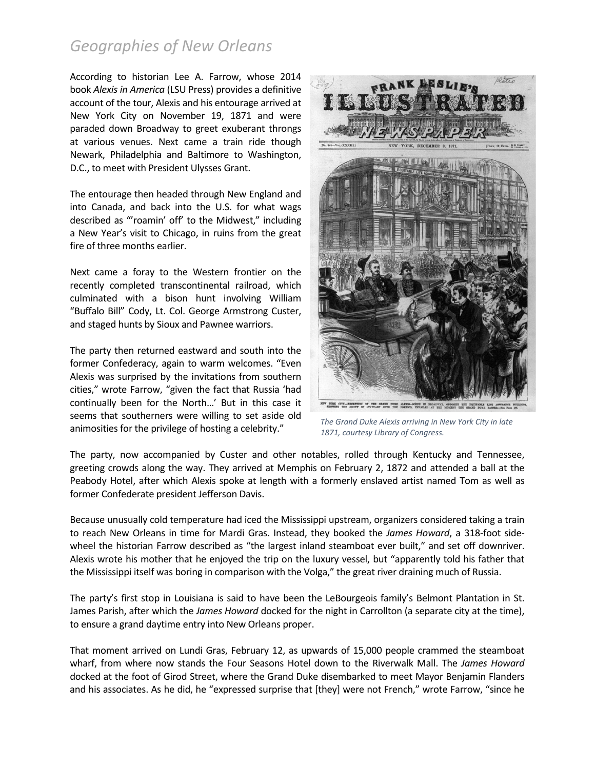According to historian Lee A. Farrow, whose 2014 book *Alexis in America* (LSU Press) provides a definitive account of the tour, Alexis and his entourage arrived at New York City on November 19, 1871 and were paraded down Broadway to greet exuberant throngs at various venues. Next came a train ride though Newark, Philadelphia and Baltimore to Washington, D.C., to meet with President Ulysses Grant.

The entourage then headed through New England and into Canada, and back into the U.S. for what wags described as "'roamin' off' to the Midwest," including a New Year's visit to Chicago, in ruins from the great fire of three months earlier.

Next came a foray to the Western frontier on the recently completed transcontinental railroad, which culminated with a bison hunt involving William "Buffalo Bill" Cody, Lt. Col. George Armstrong Custer, and staged hunts by Sioux and Pawnee warriors.

The party then returned eastward and south into the former Confederacy, again to warm welcomes. "Even Alexis was surprised by the invitations from southern cities," wrote Farrow, "given the fact that Russia 'had continually been for the North…' But in this case it seems that southerners were willing to set aside old animosities for the privilege of hosting a celebrity."



*The Grand Duke Alexis arriving in New York City in late 1871, courtesy Library of Congress.*

The party, now accompanied by Custer and other notables, rolled through Kentucky and Tennessee, greeting crowds along the way. They arrived at Memphis on February 2, 1872 and attended a ball at the Peabody Hotel, after which Alexis spoke at length with a formerly enslaved artist named Tom as well as former Confederate president Jefferson Davis.

Because unusually cold temperature had iced the Mississippi upstream, organizers considered taking a train to reach New Orleans in time for Mardi Gras. Instead, they booked the *James Howard*, a 318-foot sidewheel the historian Farrow described as "the largest inland steamboat ever built," and set off downriver. Alexis wrote his mother that he enjoyed the trip on the luxury vessel, but "apparently told his father that the Mississippi itself was boring in comparison with the Volga," the great river draining much of Russia.

The party's first stop in Louisiana is said to have been the LeBourgeois family's Belmont Plantation in St. James Parish, after which the *James Howard* docked for the night in Carrollton (a separate city at the time), to ensure a grand daytime entry into New Orleans proper.

That moment arrived on Lundi Gras, February 12, as upwards of 15,000 people crammed the steamboat wharf, from where now stands the Four Seasons Hotel down to the Riverwalk Mall. The *James Howard* docked at the foot of Girod Street, where the Grand Duke disembarked to meet Mayor Benjamin Flanders and his associates. As he did, he "expressed surprise that [they] were not French," wrote Farrow, "since he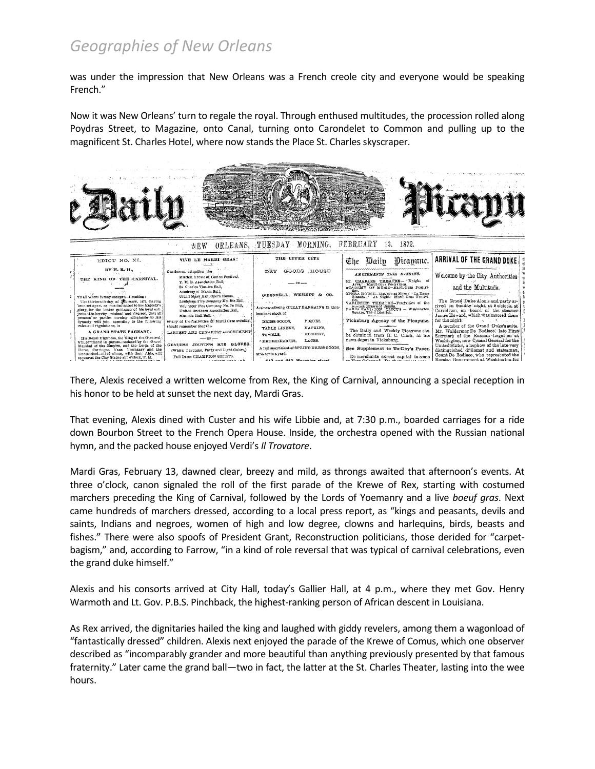was under the impression that New Orleans was a French creole city and everyone would be speaking French."

Now it was New Orleans' turn to regale the royal. Through enthused multitudes, the procession rolled along Poydras Street, to Magazine, onto Canal, turning onto Carondelet to Common and pulling up to the magnificent St. Charles Hotel, where now stands the Place St. Charles skyscraper.



There, Alexis received a written welcome from Rex, the King of Carnival, announcing a special reception in his honor to be held at sunset the next day, Mardi Gras.

That evening, Alexis dined with Custer and his wife Libbie and, at 7:30 p.m., boarded carriages for a ride down Bourbon Street to the French Opera House. Inside, the orchestra opened with the Russian national hymn, and the packed house enjoyed Verdi's *Il Trovatore*.

Mardi Gras, February 13, dawned clear, breezy and mild, as throngs awaited that afternoon's events. At three o'clock, canon signaled the roll of the first parade of the Krewe of Rex, starting with costumed marchers preceding the King of Carnival, followed by the Lords of Yoemanry and a live *boeuf gras*. Next came hundreds of marchers dressed, according to a local press report, as "kings and peasants, devils and saints, Indians and negroes, women of high and low degree, clowns and harlequins, birds, beasts and fishes." There were also spoofs of President Grant, Reconstruction politicians, those derided for "carpetbagism," and, according to Farrow, "in a kind of role reversal that was typical of carnival celebrations, even the grand duke himself."

Alexis and his consorts arrived at City Hall, today's Gallier Hall, at 4 p.m., where they met Gov. Henry Warmoth and Lt. Gov. P.B.S. Pinchback, the highest-ranking person of African descent in Louisiana.

As Rex arrived, the dignitaries hailed the king and laughed with giddy revelers, among them a wagonload of "fantastically dressed" children. Alexis next enjoyed the parade of the Krewe of Comus, which one observer described as "incomparably grander and more beautiful than anything previously presented by that famous fraternity." Later came the grand ball—two in fact, the latter at the St. Charles Theater, lasting into the wee hours.